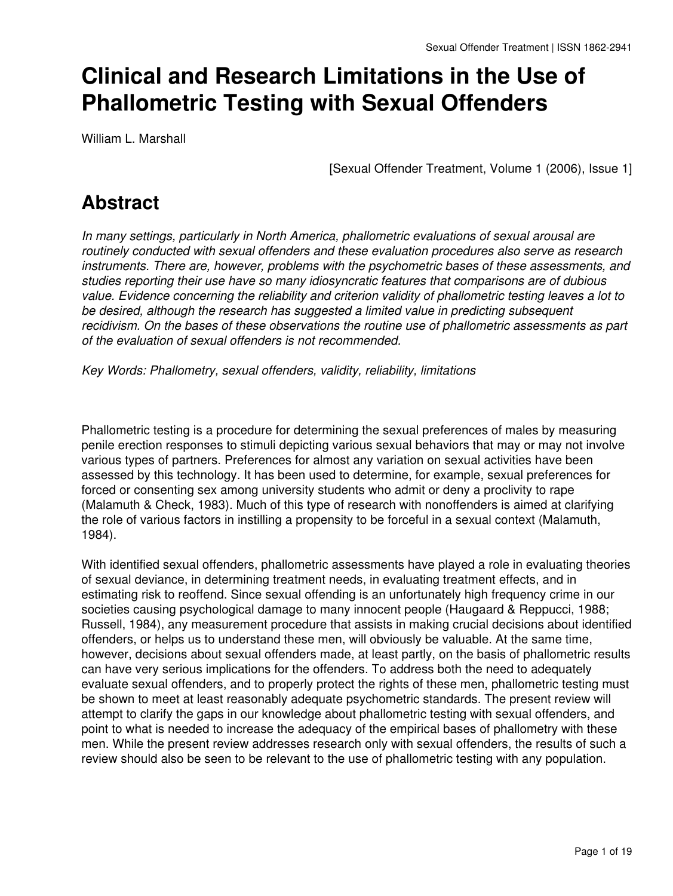# **Clinical and Research Limitations in the Use of Phallometric Testing with Sexual Offenders**

William L. Marshall

[Sexual Offender Treatment, Volume 1 (2006), Issue 1]

# **Abstract**

*In many settings, particularly in North America, phallometric evaluations of sexual arousal are routinely conducted with sexual offenders and these evaluation procedures also serve as research instruments. There are, however, problems with the psychometric bases of these assessments, and studies reporting their use have so many idiosyncratic features that comparisons are of dubious value. Evidence concerning the reliability and criterion validity of phallometric testing leaves a lot to be desired, although the research has suggested a limited value in predicting subsequent recidivism. On the bases of these observations the routine use of phallometric assessments as part of the evaluation of sexual offenders is not recommended.*

*Key Words: Phallometry, sexual offenders, validity, reliability, limitations*

Phallometric testing is a procedure for determining the sexual preferences of males by measuring penile erection responses to stimuli depicting various sexual behaviors that may or may not involve various types of partners. Preferences for almost any variation on sexual activities have been assessed by this technology. It has been used to determine, for example, sexual preferences for forced or consenting sex among university students who admit or deny a proclivity to rape (Malamuth & Check, 1983). Much of this type of research with nonoffenders is aimed at clarifying the role of various factors in instilling a propensity to be forceful in a sexual context (Malamuth, 1984).

With identified sexual offenders, phallometric assessments have played a role in evaluating theories of sexual deviance, in determining treatment needs, in evaluating treatment effects, and in estimating risk to reoffend. Since sexual offending is an unfortunately high frequency crime in our societies causing psychological damage to many innocent people (Haugaard & Reppucci, 1988; Russell, 1984), any measurement procedure that assists in making crucial decisions about identified offenders, or helps us to understand these men, will obviously be valuable. At the same time, however, decisions about sexual offenders made, at least partly, on the basis of phallometric results can have very serious implications for the offenders. To address both the need to adequately evaluate sexual offenders, and to properly protect the rights of these men, phallometric testing must be shown to meet at least reasonably adequate psychometric standards. The present review will attempt to clarify the gaps in our knowledge about phallometric testing with sexual offenders, and point to what is needed to increase the adequacy of the empirical bases of phallometry with these men. While the present review addresses research only with sexual offenders, the results of such a review should also be seen to be relevant to the use of phallometric testing with any population.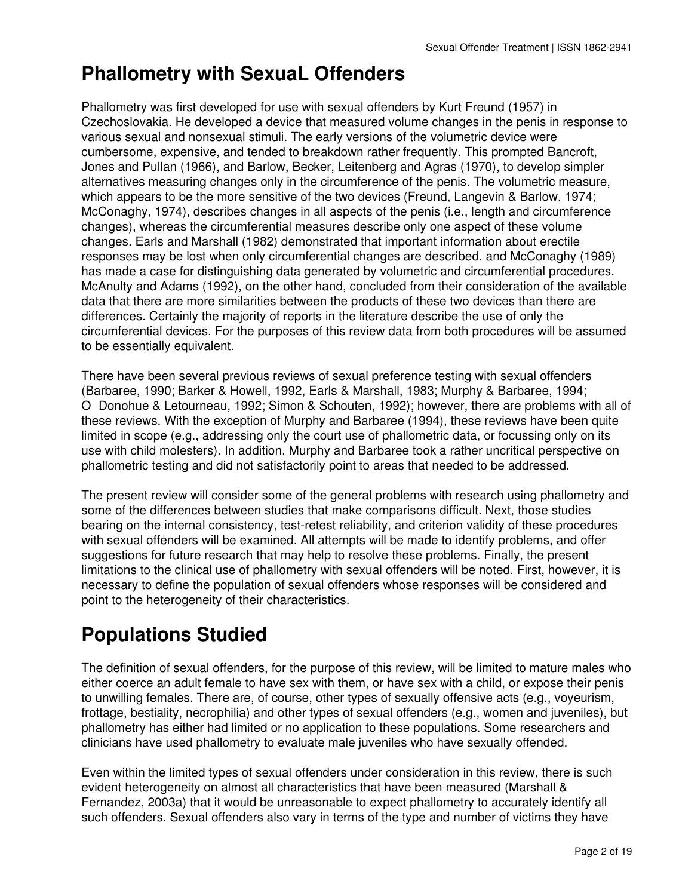## **Phallometry with SexuaL Offenders**

Phallometry was first developed for use with sexual offenders by Kurt Freund (1957) in Czechoslovakia. He developed a device that measured volume changes in the penis in response to various sexual and nonsexual stimuli. The early versions of the volumetric device were cumbersome, expensive, and tended to breakdown rather frequently. This prompted Bancroft, Jones and Pullan (1966), and Barlow, Becker, Leitenberg and Agras (1970), to develop simpler alternatives measuring changes only in the circumference of the penis. The volumetric measure, which appears to be the more sensitive of the two devices (Freund, Langevin & Barlow, 1974; McConaghy, 1974), describes changes in all aspects of the penis (i.e., length and circumference changes), whereas the circumferential measures describe only one aspect of these volume changes. Earls and Marshall (1982) demonstrated that important information about erectile responses may be lost when only circumferential changes are described, and McConaghy (1989) has made a case for distinguishing data generated by volumetric and circumferential procedures. McAnulty and Adams (1992), on the other hand, concluded from their consideration of the available data that there are more similarities between the products of these two devices than there are differences. Certainly the majority of reports in the literature describe the use of only the circumferential devices. For the purposes of this review data from both procedures will be assumed to be essentially equivalent.

There have been several previous reviews of sexual preference testing with sexual offenders (Barbaree, 1990; Barker & Howell, 1992, Earls & Marshall, 1983; Murphy & Barbaree, 1994; ODonohue & Letourneau, 1992; Simon & Schouten, 1992); however, there are problems with all of these reviews. With the exception of Murphy and Barbaree (1994), these reviews have been quite limited in scope (e.g., addressing only the court use of phallometric data, or focussing only on its use with child molesters). In addition, Murphy and Barbaree took a rather uncritical perspective on phallometric testing and did not satisfactorily point to areas that needed to be addressed.

The present review will consider some of the general problems with research using phallometry and some of the differences between studies that make comparisons difficult. Next, those studies bearing on the internal consistency, test-retest reliability, and criterion validity of these procedures with sexual offenders will be examined. All attempts will be made to identify problems, and offer suggestions for future research that may help to resolve these problems. Finally, the present limitations to the clinical use of phallometry with sexual offenders will be noted. First, however, it is necessary to define the population of sexual offenders whose responses will be considered and point to the heterogeneity of their characteristics.

# **Populations Studied**

The definition of sexual offenders, for the purpose of this review, will be limited to mature males who either coerce an adult female to have sex with them, or have sex with a child, or expose their penis to unwilling females. There are, of course, other types of sexually offensive acts (e.g., voyeurism, frottage, bestiality, necrophilia) and other types of sexual offenders (e.g., women and juveniles), but phallometry has either had limited or no application to these populations. Some researchers and clinicians have used phallometry to evaluate male juveniles who have sexually offended.

Even within the limited types of sexual offenders under consideration in this review, there is such evident heterogeneity on almost all characteristics that have been measured (Marshall & Fernandez, 2003a) that it would be unreasonable to expect phallometry to accurately identify all such offenders. Sexual offenders also vary in terms of the type and number of victims they have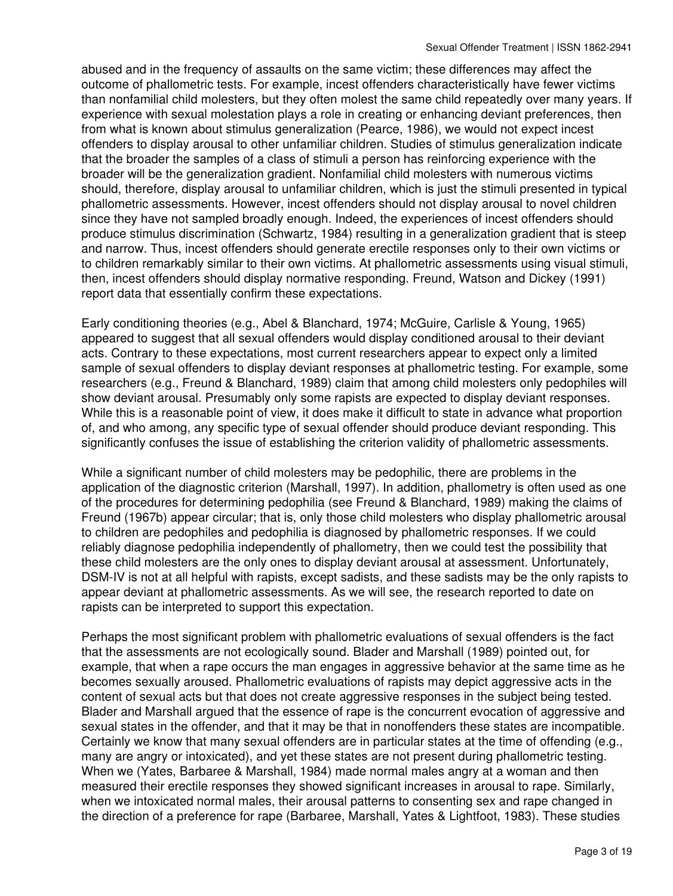abused and in the frequency of assaults on the same victim; these differences may affect the outcome of phallometric tests. For example, incest offenders characteristically have fewer victims than nonfamilial child molesters, but they often molest the same child repeatedly over many years. If experience with sexual molestation plays a role in creating or enhancing deviant preferences, then from what is known about stimulus generalization (Pearce, 1986), we would not expect incest offenders to display arousal to other unfamiliar children. Studies of stimulus generalization indicate that the broader the samples of a class of stimuli a person has reinforcing experience with the broader will be the generalization gradient. Nonfamilial child molesters with numerous victims should, therefore, display arousal to unfamiliar children, which is just the stimuli presented in typical phallometric assessments. However, incest offenders should not display arousal to novel children since they have not sampled broadly enough. Indeed, the experiences of incest offenders should produce stimulus discrimination (Schwartz, 1984) resulting in a generalization gradient that is steep and narrow. Thus, incest offenders should generate erectile responses only to their own victims or to children remarkably similar to their own victims. At phallometric assessments using visual stimuli, then, incest offenders should display normative responding. Freund, Watson and Dickey (1991) report data that essentially confirm these expectations.

Early conditioning theories (e.g., Abel & Blanchard, 1974; McGuire, Carlisle & Young, 1965) appeared to suggest that all sexual offenders would display conditioned arousal to their deviant acts. Contrary to these expectations, most current researchers appear to expect only a limited sample of sexual offenders to display deviant responses at phallometric testing. For example, some researchers (e.g., Freund & Blanchard, 1989) claim that among child molesters only pedophiles will show deviant arousal. Presumably only some rapists are expected to display deviant responses. While this is a reasonable point of view, it does make it difficult to state in advance what proportion of, and who among, any specific type of sexual offender should produce deviant responding. This significantly confuses the issue of establishing the criterion validity of phallometric assessments.

While a significant number of child molesters may be pedophilic, there are problems in the application of the diagnostic criterion (Marshall, 1997). In addition, phallometry is often used as one of the procedures for determining pedophilia (see Freund & Blanchard, 1989) making the claims of Freund (1967b) appear circular; that is, only those child molesters who display phallometric arousal to children are pedophiles and pedophilia is diagnosed by phallometric responses. If we could reliably diagnose pedophilia independently of phallometry, then we could test the possibility that these child molesters are the only ones to display deviant arousal at assessment. Unfortunately, DSM-IV is not at all helpful with rapists, except sadists, and these sadists may be the only rapists to appear deviant at phallometric assessments. As we will see, the research reported to date on rapists can be interpreted to support this expectation.

Perhaps the most significant problem with phallometric evaluations of sexual offenders is the fact that the assessments are not ecologically sound. Blader and Marshall (1989) pointed out, for example, that when a rape occurs the man engages in aggressive behavior at the same time as he becomes sexually aroused. Phallometric evaluations of rapists may depict aggressive acts in the content of sexual acts but that does not create aggressive responses in the subject being tested. Blader and Marshall argued that the essence of rape is the concurrent evocation of aggressive and sexual states in the offender, and that it may be that in nonoffenders these states are incompatible. Certainly we know that many sexual offenders are in particular states at the time of offending (e.g., many are angry or intoxicated), and yet these states are not present during phallometric testing. When we (Yates, Barbaree & Marshall, 1984) made normal males angry at a woman and then measured their erectile responses they showed significant increases in arousal to rape. Similarly, when we intoxicated normal males, their arousal patterns to consenting sex and rape changed in the direction of a preference for rape (Barbaree, Marshall, Yates & Lightfoot, 1983). These studies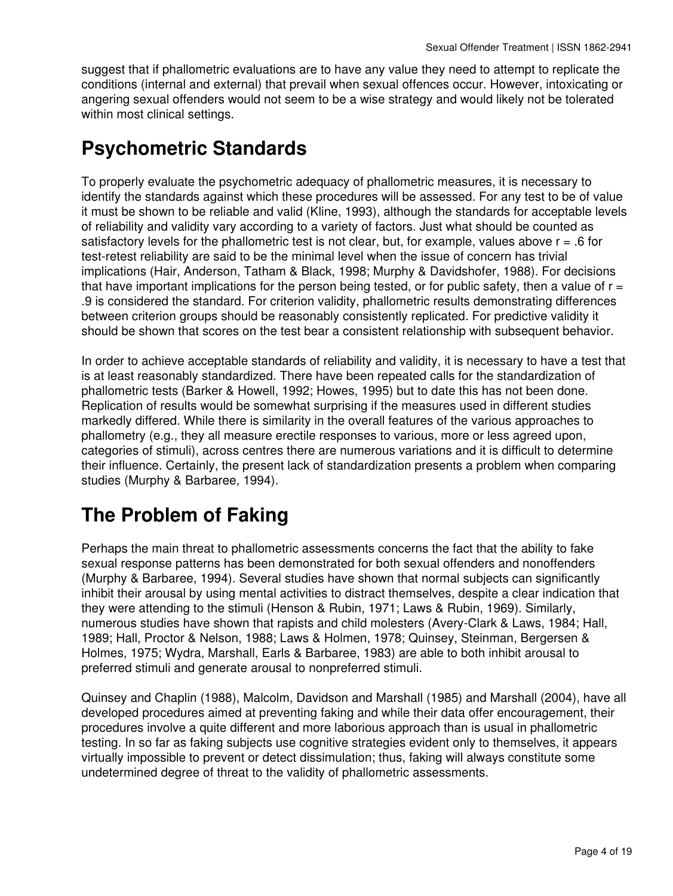suggest that if phallometric evaluations are to have any value they need to attempt to replicate the conditions (internal and external) that prevail when sexual offences occur. However, intoxicating or angering sexual offenders would not seem to be a wise strategy and would likely not be tolerated within most clinical settings.

### **Psychometric Standards**

To properly evaluate the psychometric adequacy of phallometric measures, it is necessary to identify the standards against which these procedures will be assessed. For any test to be of value it must be shown to be reliable and valid (Kline, 1993), although the standards for acceptable levels of reliability and validity vary according to a variety of factors. Just what should be counted as satisfactory levels for the phallometric test is not clear, but, for example, values above  $r = .6$  for test-retest reliability are said to be the minimal level when the issue of concern has trivial implications (Hair, Anderson, Tatham & Black, 1998; Murphy & Davidshofer, 1988). For decisions that have important implications for the person being tested, or for public safety, then a value of  $r =$ .9 is considered the standard. For criterion validity, phallometric results demonstrating differences between criterion groups should be reasonably consistently replicated. For predictive validity it should be shown that scores on the test bear a consistent relationship with subsequent behavior.

In order to achieve acceptable standards of reliability and validity, it is necessary to have a test that is at least reasonably standardized. There have been repeated calls for the standardization of phallometric tests (Barker & Howell, 1992; Howes, 1995) but to date this has not been done. Replication of results would be somewhat surprising if the measures used in different studies markedly differed. While there is similarity in the overall features of the various approaches to phallometry (e.g., they all measure erectile responses to various, more or less agreed upon, categories of stimuli), across centres there are numerous variations and it is difficult to determine their influence. Certainly, the present lack of standardization presents a problem when comparing studies (Murphy & Barbaree, 1994).

### **The Problem of Faking**

Perhaps the main threat to phallometric assessments concerns the fact that the ability to fake sexual response patterns has been demonstrated for both sexual offenders and nonoffenders (Murphy & Barbaree, 1994). Several studies have shown that normal subjects can significantly inhibit their arousal by using mental activities to distract themselves, despite a clear indication that they were attending to the stimuli (Henson & Rubin, 1971; Laws & Rubin, 1969). Similarly, numerous studies have shown that rapists and child molesters (Avery-Clark & Laws, 1984; Hall, 1989; Hall, Proctor & Nelson, 1988; Laws & Holmen, 1978; Quinsey, Steinman, Bergersen & Holmes, 1975; Wydra, Marshall, Earls & Barbaree, 1983) are able to both inhibit arousal to preferred stimuli and generate arousal to nonpreferred stimuli.

Quinsey and Chaplin (1988), Malcolm, Davidson and Marshall (1985) and Marshall (2004), have all developed procedures aimed at preventing faking and while their data offer encouragement, their procedures involve a quite different and more laborious approach than is usual in phallometric testing. In so far as faking subjects use cognitive strategies evident only to themselves, it appears virtually impossible to prevent or detect dissimulation; thus, faking will always constitute some undetermined degree of threat to the validity of phallometric assessments.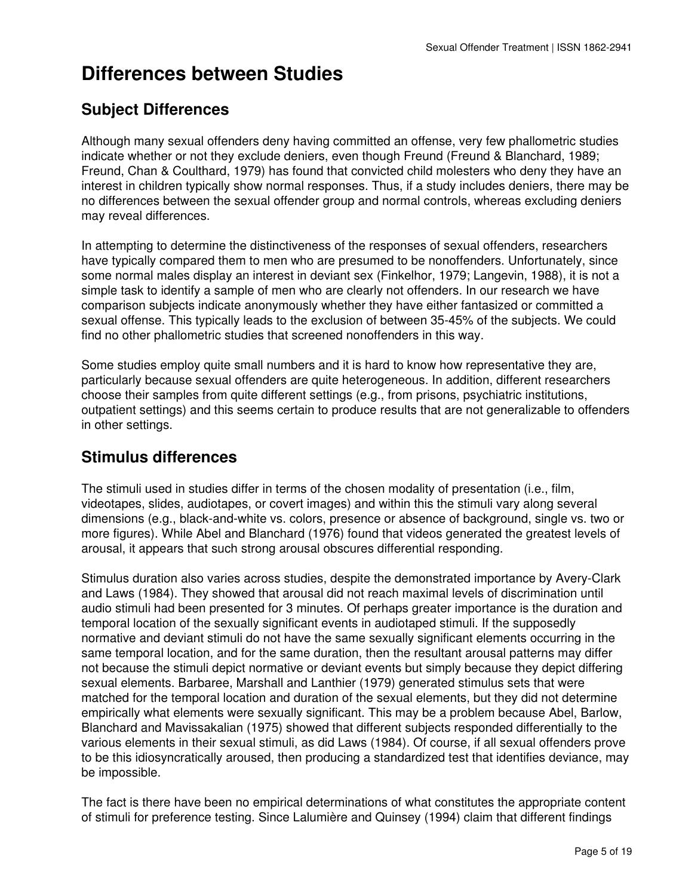## **Differences between Studies**

#### **Subject Differences**

Although many sexual offenders deny having committed an offense, very few phallometric studies indicate whether or not they exclude deniers, even though Freund (Freund & Blanchard, 1989; Freund, Chan & Coulthard, 1979) has found that convicted child molesters who deny they have an interest in children typically show normal responses. Thus, if a study includes deniers, there may be no differences between the sexual offender group and normal controls, whereas excluding deniers may reveal differences.

In attempting to determine the distinctiveness of the responses of sexual offenders, researchers have typically compared them to men who are presumed to be nonoffenders. Unfortunately, since some normal males display an interest in deviant sex (Finkelhor, 1979; Langevin, 1988), it is not a simple task to identify a sample of men who are clearly not offenders. In our research we have comparison subjects indicate anonymously whether they have either fantasized or committed a sexual offense. This typically leads to the exclusion of between 35-45% of the subjects. We could find no other phallometric studies that screened nonoffenders in this way.

Some studies employ quite small numbers and it is hard to know how representative they are, particularly because sexual offenders are quite heterogeneous. In addition, different researchers choose their samples from quite different settings (e.g., from prisons, psychiatric institutions, outpatient settings) and this seems certain to produce results that are not generalizable to offenders in other settings.

#### **Stimulus differences**

The stimuli used in studies differ in terms of the chosen modality of presentation (i.e., film, videotapes, slides, audiotapes, or covert images) and within this the stimuli vary along several dimensions (e.g., black-and-white vs. colors, presence or absence of background, single vs. two or more figures). While Abel and Blanchard (1976) found that videos generated the greatest levels of arousal, it appears that such strong arousal obscures differential responding.

Stimulus duration also varies across studies, despite the demonstrated importance by Avery-Clark and Laws (1984). They showed that arousal did not reach maximal levels of discrimination until audio stimuli had been presented for 3 minutes. Of perhaps greater importance is the duration and temporal location of the sexually significant events in audiotaped stimuli. If the supposedly normative and deviant stimuli do not have the same sexually significant elements occurring in the same temporal location, and for the same duration, then the resultant arousal patterns may differ not because the stimuli depict normative or deviant events but simply because they depict differing sexual elements. Barbaree, Marshall and Lanthier (1979) generated stimulus sets that were matched for the temporal location and duration of the sexual elements, but they did not determine empirically what elements were sexually significant. This may be a problem because Abel, Barlow, Blanchard and Mavissakalian (1975) showed that different subjects responded differentially to the various elements in their sexual stimuli, as did Laws (1984). Of course, if all sexual offenders prove to be this idiosyncratically aroused, then producing a standardized test that identifies deviance, may be impossible.

The fact is there have been no empirical determinations of what constitutes the appropriate content of stimuli for preference testing. Since Lalumière and Quinsey (1994) claim that different findings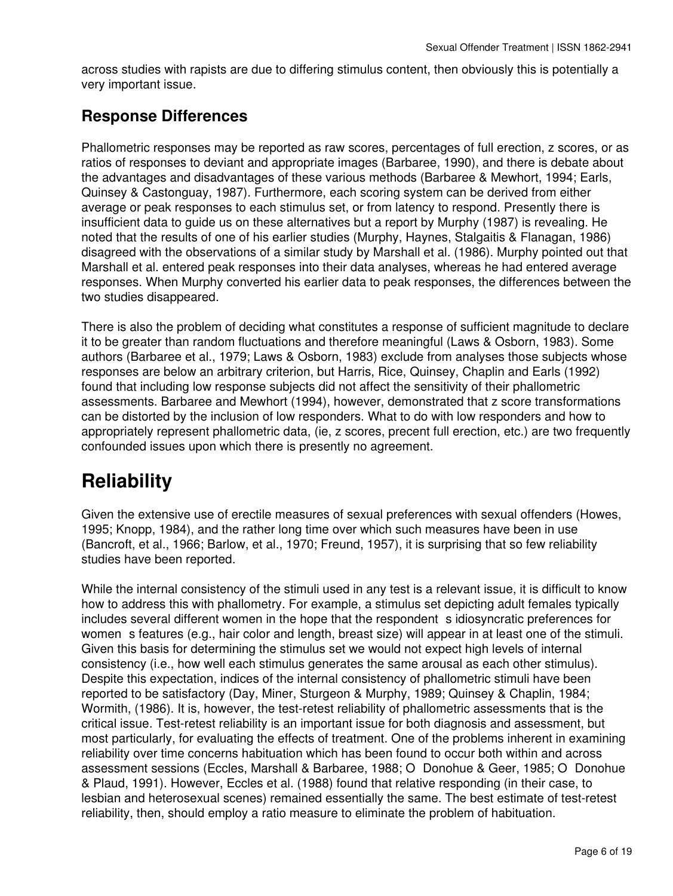across studies with rapists are due to differing stimulus content, then obviously this is potentially a very important issue.

#### **Response Differences**

Phallometric responses may be reported as raw scores, percentages of full erection, z scores, or as ratios of responses to deviant and appropriate images (Barbaree, 1990), and there is debate about the advantages and disadvantages of these various methods (Barbaree & Mewhort, 1994; Earls, Quinsey & Castonguay, 1987). Furthermore, each scoring system can be derived from either average or peak responses to each stimulus set, or from latency to respond. Presently there is insufficient data to guide us on these alternatives but a report by Murphy (1987) is revealing. He noted that the results of one of his earlier studies (Murphy, Haynes, Stalgaitis & Flanagan, 1986) disagreed with the observations of a similar study by Marshall et al. (1986). Murphy pointed out that Marshall et al. entered peak responses into their data analyses, whereas he had entered average responses. When Murphy converted his earlier data to peak responses, the differences between the two studies disappeared.

There is also the problem of deciding what constitutes a response of sufficient magnitude to declare it to be greater than random fluctuations and therefore meaningful (Laws & Osborn, 1983). Some authors (Barbaree et al., 1979; Laws & Osborn, 1983) exclude from analyses those subjects whose responses are below an arbitrary criterion, but Harris, Rice, Quinsey, Chaplin and Earls (1992) found that including low response subjects did not affect the sensitivity of their phallometric assessments. Barbaree and Mewhort (1994), however, demonstrated that z score transformations can be distorted by the inclusion of low responders. What to do with low responders and how to appropriately represent phallometric data, (ie, z scores, precent full erection, etc.) are two frequently confounded issues upon which there is presently no agreement.

# **Reliability**

Given the extensive use of erectile measures of sexual preferences with sexual offenders (Howes, 1995; Knopp, 1984), and the rather long time over which such measures have been in use (Bancroft, et al., 1966; Barlow, et al., 1970; Freund, 1957), it is surprising that so few reliability studies have been reported.

While the internal consistency of the stimuli used in any test is a relevant issue, it is difficult to know how to address this with phallometry. For example, a stimulus set depicting adult females typically includes several different women in the hope that the respondent sidiosyncratic preferences for women s features (e.g., hair color and length, breast size) will appear in at least one of the stimuli. Given this basis for determining the stimulus set we would not expect high levels of internal consistency (i.e., how well each stimulus generates the same arousal as each other stimulus). Despite this expectation, indices of the internal consistency of phallometric stimuli have been reported to be satisfactory (Day, Miner, Sturgeon & Murphy, 1989; Quinsey & Chaplin, 1984; Wormith, (1986). It is, however, the test-retest reliability of phallometric assessments that is the critical issue. Test-retest reliability is an important issue for both diagnosis and assessment, but most particularly, for evaluating the effects of treatment. One of the problems inherent in examining reliability over time concerns habituation which has been found to occur both within and across assessment sessions (Eccles, Marshall & Barbaree, 1988; O Donohue & Geer, 1985; O Donohue & Plaud, 1991). However, Eccles et al. (1988) found that relative responding (in their case, to lesbian and heterosexual scenes) remained essentially the same. The best estimate of test-retest reliability, then, should employ a ratio measure to eliminate the problem of habituation.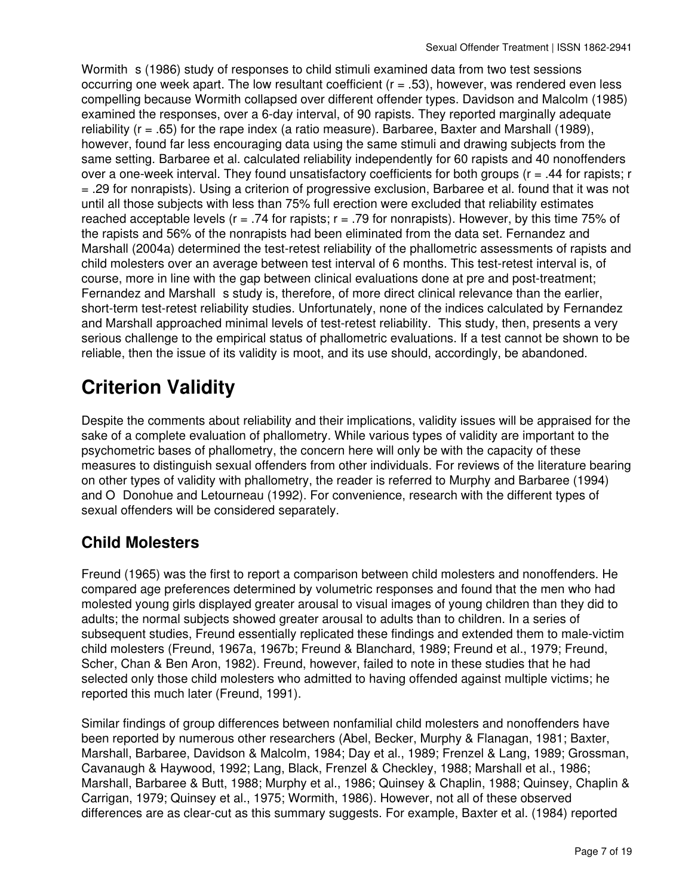Wormith s (1986) study of responses to child stimuli examined data from two test sessions occurring one week apart. The low resultant coefficient (r = .53), however, was rendered even less compelling because Wormith collapsed over different offender types. Davidson and Malcolm (1985) examined the responses, over a 6-day interval, of 90 rapists. They reported marginally adequate reliability (r = .65) for the rape index (a ratio measure). Barbaree, Baxter and Marshall (1989), however, found far less encouraging data using the same stimuli and drawing subjects from the same setting. Barbaree et al. calculated reliability independently for 60 rapists and 40 nonoffenders over a one-week interval. They found unsatisfactory coefficients for both groups ( $r = .44$  for rapists; r = .29 for nonrapists). Using a criterion of progressive exclusion, Barbaree et al. found that it was not until all those subjects with less than 75% full erection were excluded that reliability estimates reached acceptable levels ( $r = .74$  for rapists;  $r = .79$  for nonrapists). However, by this time 75% of the rapists and 56% of the nonrapists had been eliminated from the data set. Fernandez and Marshall (2004a) determined the test-retest reliability of the phallometric assessments of rapists and child molesters over an average between test interval of 6 months. This test-retest interval is, of course, more in line with the gap between clinical evaluations done at pre and post-treatment; Fernandez and Marshall s study is, therefore, of more direct clinical relevance than the earlier, short-term test-retest reliability studies. Unfortunately, none of the indices calculated by Fernandez and Marshall approached minimal levels of test-retest reliability. This study, then, presents a very serious challenge to the empirical status of phallometric evaluations. If a test cannot be shown to be reliable, then the issue of its validity is moot, and its use should, accordingly, be abandoned.

# **Criterion Validity**

Despite the comments about reliability and their implications, validity issues will be appraised for the sake of a complete evaluation of phallometry. While various types of validity are important to the psychometric bases of phallometry, the concern here will only be with the capacity of these measures to distinguish sexual offenders from other individuals. For reviews of the literature bearing on other types of validity with phallometry, the reader is referred to Murphy and Barbaree (1994) and O Donohue and Letourneau (1992). For convenience, research with the different types of sexual offenders will be considered separately.

#### **Child Molesters**

Freund (1965) was the first to report a comparison between child molesters and nonoffenders. He compared age preferences determined by volumetric responses and found that the men who had molested young girls displayed greater arousal to visual images of young children than they did to adults; the normal subjects showed greater arousal to adults than to children. In a series of subsequent studies, Freund essentially replicated these findings and extended them to male-victim child molesters (Freund, 1967a, 1967b; Freund & Blanchard, 1989; Freund et al., 1979; Freund, Scher, Chan & Ben Aron, 1982). Freund, however, failed to note in these studies that he had selected only those child molesters who admitted to having offended against multiple victims; he reported this much later (Freund, 1991).

Similar findings of group differences between nonfamilial child molesters and nonoffenders have been reported by numerous other researchers (Abel, Becker, Murphy & Flanagan, 1981; Baxter, Marshall, Barbaree, Davidson & Malcolm, 1984; Day et al., 1989; Frenzel & Lang, 1989; Grossman, Cavanaugh & Haywood, 1992; Lang, Black, Frenzel & Checkley, 1988; Marshall et al., 1986; Marshall, Barbaree & Butt, 1988; Murphy et al., 1986; Quinsey & Chaplin, 1988; Quinsey, Chaplin & Carrigan, 1979; Quinsey et al., 1975; Wormith, 1986). However, not all of these observed differences are as clear-cut as this summary suggests. For example, Baxter et al. (1984) reported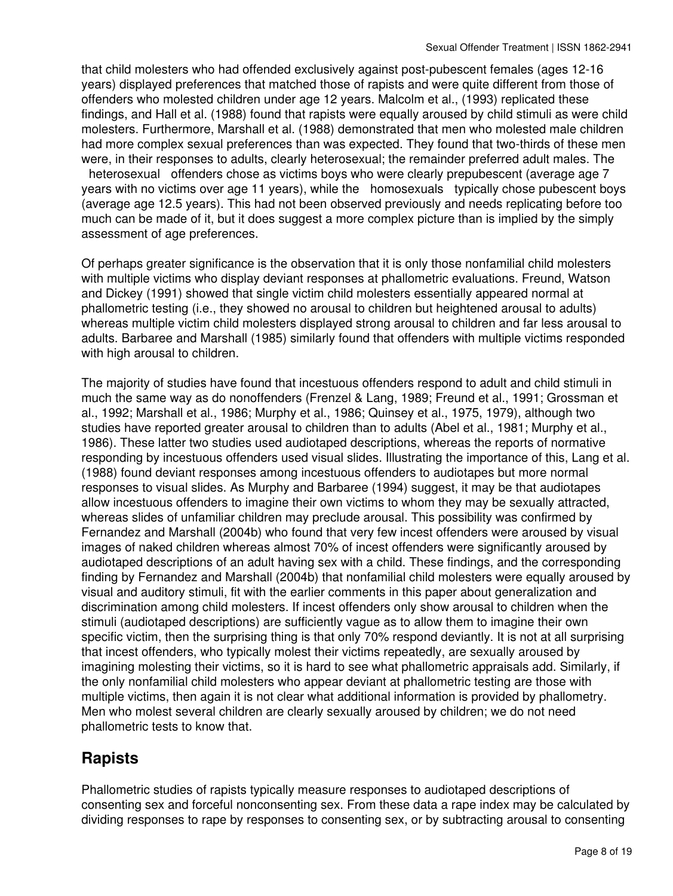that child molesters who had offended exclusively against post-pubescent females (ages 12-16 years) displayed preferences that matched those of rapists and were quite different from those of offenders who molested children under age 12 years. Malcolm et al., (1993) replicated these findings, and Hall et al. (1988) found that rapists were equally aroused by child stimuli as were child molesters. Furthermore, Marshall et al. (1988) demonstrated that men who molested male children had more complex sexual preferences than was expected. They found that two-thirds of these men were, in their responses to adults, clearly heterosexual; the remainder preferred adult males. The heterosexual offenders chose as victims boys who were clearly prepubescent (average age 7 years with no victims over age 11 years), while the homosexuals typically chose pubescent boys (average age 12.5 years). This had not been observed previously and needs replicating before too much can be made of it, but it does suggest a more complex picture than is implied by the simply

assessment of age preferences.

Of perhaps greater significance is the observation that it is only those nonfamilial child molesters with multiple victims who display deviant responses at phallometric evaluations. Freund, Watson and Dickey (1991) showed that single victim child molesters essentially appeared normal at phallometric testing (i.e., they showed no arousal to children but heightened arousal to adults) whereas multiple victim child molesters displayed strong arousal to children and far less arousal to adults. Barbaree and Marshall (1985) similarly found that offenders with multiple victims responded with high arousal to children.

The majority of studies have found that incestuous offenders respond to adult and child stimuli in much the same way as do nonoffenders (Frenzel & Lang, 1989; Freund et al., 1991; Grossman et al., 1992; Marshall et al., 1986; Murphy et al., 1986; Quinsey et al., 1975, 1979), although two studies have reported greater arousal to children than to adults (Abel et al., 1981; Murphy et al., 1986). These latter two studies used audiotaped descriptions, whereas the reports of normative responding by incestuous offenders used visual slides. Illustrating the importance of this, Lang et al. (1988) found deviant responses among incestuous offenders to audiotapes but more normal responses to visual slides. As Murphy and Barbaree (1994) suggest, it may be that audiotapes allow incestuous offenders to imagine their own victims to whom they may be sexually attracted, whereas slides of unfamiliar children may preclude arousal. This possibility was confirmed by Fernandez and Marshall (2004b) who found that very few incest offenders were aroused by visual images of naked children whereas almost 70% of incest offenders were significantly aroused by audiotaped descriptions of an adult having sex with a child. These findings, and the corresponding finding by Fernandez and Marshall (2004b) that nonfamilial child molesters were equally aroused by visual and auditory stimuli, fit with the earlier comments in this paper about generalization and discrimination among child molesters. If incest offenders only show arousal to children when the stimuli (audiotaped descriptions) are sufficiently vague as to allow them to imagine their own specific victim, then the surprising thing is that only 70% respond deviantly. It is not at all surprising that incest offenders, who typically molest their victims repeatedly, are sexually aroused by imagining molesting their victims, so it is hard to see what phallometric appraisals add. Similarly, if the only nonfamilial child molesters who appear deviant at phallometric testing are those with multiple victims, then again it is not clear what additional information is provided by phallometry. Men who molest several children are clearly sexually aroused by children; we do not need phallometric tests to know that.

#### **Rapists**

Phallometric studies of rapists typically measure responses to audiotaped descriptions of consenting sex and forceful nonconsenting sex. From these data a rape index may be calculated by dividing responses to rape by responses to consenting sex, or by subtracting arousal to consenting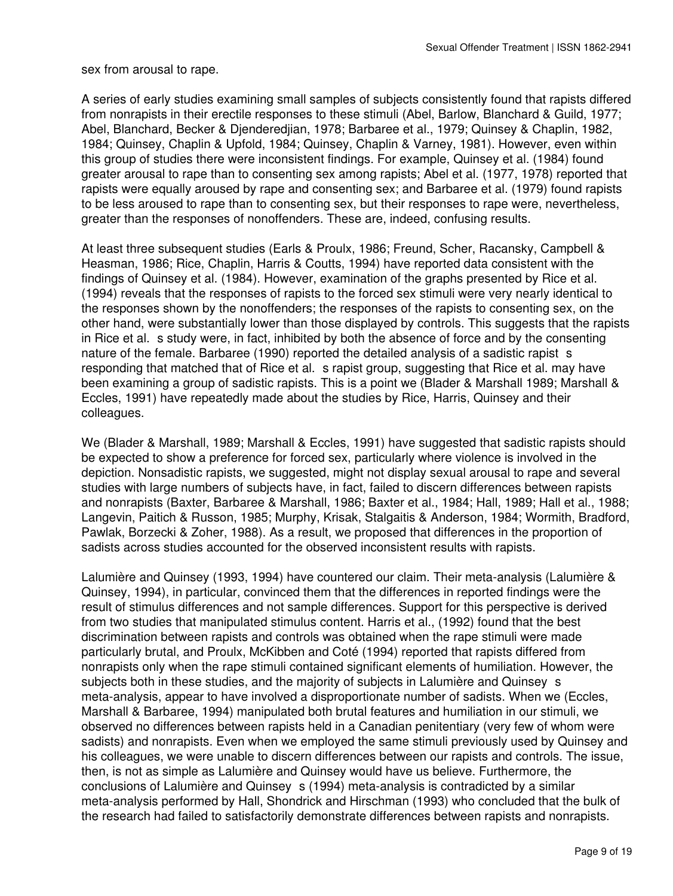sex from arousal to rape.

A series of early studies examining small samples of subjects consistently found that rapists differed from nonrapists in their erectile responses to these stimuli (Abel, Barlow, Blanchard & Guild, 1977; Abel, Blanchard, Becker & Djenderedjian, 1978; Barbaree et al., 1979; Quinsey & Chaplin, 1982, 1984; Quinsey, Chaplin & Upfold, 1984; Quinsey, Chaplin & Varney, 1981). However, even within this group of studies there were inconsistent findings. For example, Quinsey et al. (1984) found greater arousal to rape than to consenting sex among rapists; Abel et al. (1977, 1978) reported that rapists were equally aroused by rape and consenting sex; and Barbaree et al. (1979) found rapists to be less aroused to rape than to consenting sex, but their responses to rape were, nevertheless, greater than the responses of nonoffenders. These are, indeed, confusing results.

At least three subsequent studies (Earls & Proulx, 1986; Freund, Scher, Racansky, Campbell & Heasman, 1986; Rice, Chaplin, Harris & Coutts, 1994) have reported data consistent with the findings of Quinsey et al. (1984). However, examination of the graphs presented by Rice et al. (1994) reveals that the responses of rapists to the forced sex stimuli were very nearly identical to the responses shown by the nonoffenders; the responses of the rapists to consenting sex, on the other hand, were substantially lower than those displayed by controls. This suggests that the rapists in Rice et al. s study were, in fact, inhibited by both the absence of force and by the consenting nature of the female. Barbaree (1990) reported the detailed analysis of a sadistic rapist s responding that matched that of Rice et al. s rapist group, suggesting that Rice et al. may have been examining a group of sadistic rapists. This is a point we (Blader & Marshall 1989; Marshall & Eccles, 1991) have repeatedly made about the studies by Rice, Harris, Quinsey and their colleagues.

We (Blader & Marshall, 1989; Marshall & Eccles, 1991) have suggested that sadistic rapists should be expected to show a preference for forced sex, particularly where violence is involved in the depiction. Nonsadistic rapists, we suggested, might not display sexual arousal to rape and several studies with large numbers of subjects have, in fact, failed to discern differences between rapists and nonrapists (Baxter, Barbaree & Marshall, 1986; Baxter et al., 1984; Hall, 1989; Hall et al., 1988; Langevin, Paitich & Russon, 1985; Murphy, Krisak, Stalgaitis & Anderson, 1984; Wormith, Bradford, Pawlak, Borzecki & Zoher, 1988). As a result, we proposed that differences in the proportion of sadists across studies accounted for the observed inconsistent results with rapists.

Lalumière and Quinsey (1993, 1994) have countered our claim. Their meta-analysis (Lalumière & Quinsey, 1994), in particular, convinced them that the differences in reported findings were the result of stimulus differences and not sample differences. Support for this perspective is derived from two studies that manipulated stimulus content. Harris et al., (1992) found that the best discrimination between rapists and controls was obtained when the rape stimuli were made particularly brutal, and Proulx, McKibben and Coté (1994) reported that rapists differed from nonrapists only when the rape stimuli contained significant elements of humiliation. However, the subjects both in these studies, and the majority of subjects in Lalumière and Quinsey s meta-analysis, appear to have involved a disproportionate number of sadists. When we (Eccles, Marshall & Barbaree, 1994) manipulated both brutal features and humiliation in our stimuli, we observed no differences between rapists held in a Canadian penitentiary (very few of whom were sadists) and nonrapists. Even when we employed the same stimuli previously used by Quinsey and his colleagues, we were unable to discern differences between our rapists and controls. The issue, then, is not as simple as Lalumière and Quinsey would have us believe. Furthermore, the conclusions of Lalumière and Quinsey s (1994) meta-analysis is contradicted by a similar meta-analysis performed by Hall, Shondrick and Hirschman (1993) who concluded that the bulk of the research had failed to satisfactorily demonstrate differences between rapists and nonrapists.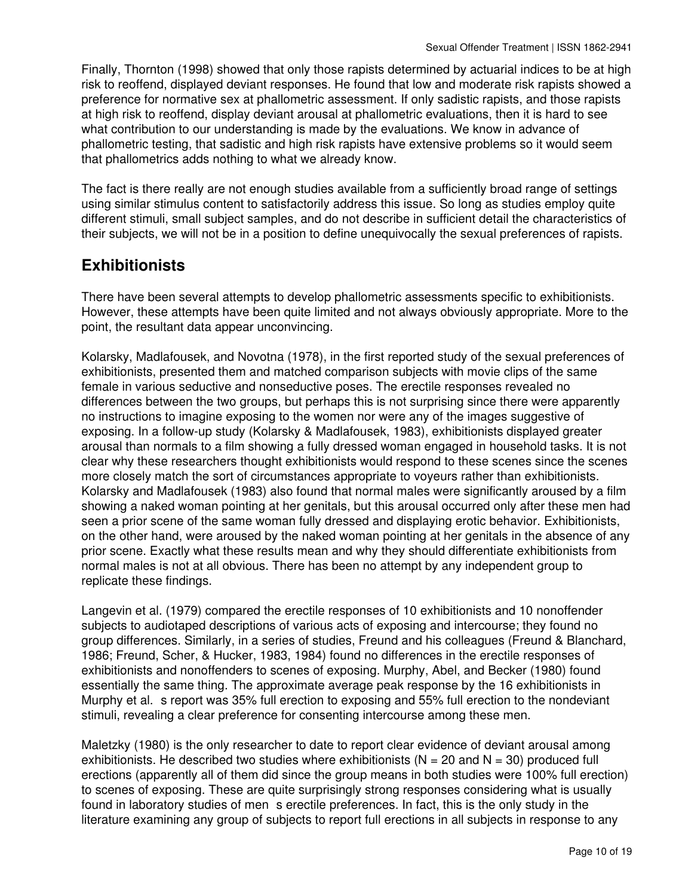Finally, Thornton (1998) showed that only those rapists determined by actuarial indices to be at high risk to reoffend, displayed deviant responses. He found that low and moderate risk rapists showed a preference for normative sex at phallometric assessment. If only sadistic rapists, and those rapists at high risk to reoffend, display deviant arousal at phallometric evaluations, then it is hard to see what contribution to our understanding is made by the evaluations. We know in advance of phallometric testing, that sadistic and high risk rapists have extensive problems so it would seem that phallometrics adds nothing to what we already know.

The fact is there really are not enough studies available from a sufficiently broad range of settings using similar stimulus content to satisfactorily address this issue. So long as studies employ quite different stimuli, small subject samples, and do not describe in sufficient detail the characteristics of their subjects, we will not be in a position to define unequivocally the sexual preferences of rapists.

#### **Exhibitionists**

There have been several attempts to develop phallometric assessments specific to exhibitionists. However, these attempts have been quite limited and not always obviously appropriate. More to the point, the resultant data appear unconvincing.

Kolarsky, Madlafousek, and Novotna (1978), in the first reported study of the sexual preferences of exhibitionists, presented them and matched comparison subjects with movie clips of the same female in various seductive and nonseductive poses. The erectile responses revealed no differences between the two groups, but perhaps this is not surprising since there were apparently no instructions to imagine exposing to the women nor were any of the images suggestive of exposing. In a follow-up study (Kolarsky & Madlafousek, 1983), exhibitionists displayed greater arousal than normals to a film showing a fully dressed woman engaged in household tasks. It is not clear why these researchers thought exhibitionists would respond to these scenes since the scenes more closely match the sort of circumstances appropriate to voyeurs rather than exhibitionists. Kolarsky and Madlafousek (1983) also found that normal males were significantly aroused by a film showing a naked woman pointing at her genitals, but this arousal occurred only after these men had seen a prior scene of the same woman fully dressed and displaying erotic behavior. Exhibitionists, on the other hand, were aroused by the naked woman pointing at her genitals in the absence of any prior scene. Exactly what these results mean and why they should differentiate exhibitionists from normal males is not at all obvious. There has been no attempt by any independent group to replicate these findings.

Langevin et al. (1979) compared the erectile responses of 10 exhibitionists and 10 nonoffender subjects to audiotaped descriptions of various acts of exposing and intercourse; they found no group differences. Similarly, in a series of studies, Freund and his colleagues (Freund & Blanchard, 1986; Freund, Scher, & Hucker, 1983, 1984) found no differences in the erectile responses of exhibitionists and nonoffenders to scenes of exposing. Murphy, Abel, and Becker (1980) found essentially the same thing. The approximate average peak response by the 16 exhibitionists in Murphy et al. s report was 35% full erection to exposing and 55% full erection to the nondeviant stimuli, revealing a clear preference for consenting intercourse among these men.

Maletzky (1980) is the only researcher to date to report clear evidence of deviant arousal among exhibitionists. He described two studies where exhibitionists ( $N = 20$  and  $N = 30$ ) produced full erections (apparently all of them did since the group means in both studies were 100% full erection) to scenes of exposing. These are quite surprisingly strong responses considering what is usually found in laboratory studies of mens erectile preferences. In fact, this is the only study in the literature examining any group of subjects to report full erections in all subjects in response to any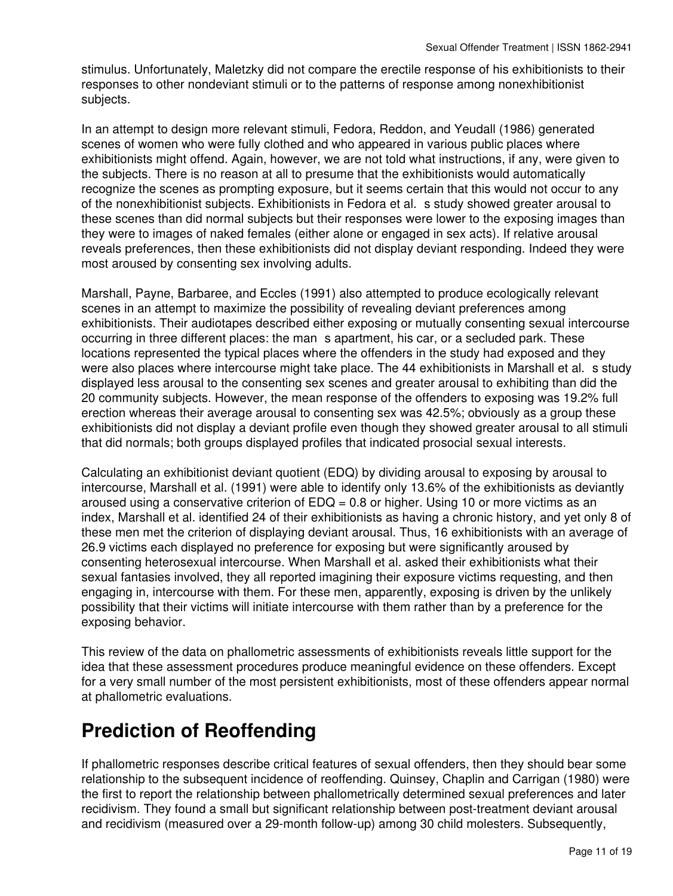stimulus. Unfortunately, Maletzky did not compare the erectile response of his exhibitionists to their responses to other nondeviant stimuli or to the patterns of response among nonexhibitionist subjects.

In an attempt to design more relevant stimuli, Fedora, Reddon, and Yeudall (1986) generated scenes of women who were fully clothed and who appeared in various public places where exhibitionists might offend. Again, however, we are not told what instructions, if any, were given to the subjects. There is no reason at all to presume that the exhibitionists would automatically recognize the scenes as prompting exposure, but it seems certain that this would not occur to any of the nonexhibitionist subjects. Exhibitionists in Fedora et al. s study showed greater arousal to these scenes than did normal subjects but their responses were lower to the exposing images than they were to images of naked females (either alone or engaged in sex acts). If relative arousal reveals preferences, then these exhibitionists did not display deviant responding. Indeed they were most aroused by consenting sex involving adults.

Marshall, Payne, Barbaree, and Eccles (1991) also attempted to produce ecologically relevant scenes in an attempt to maximize the possibility of revealing deviant preferences among exhibitionists. Their audiotapes described either exposing or mutually consenting sexual intercourse occurring in three different places: the man s apartment, his car, or a secluded park. These locations represented the typical places where the offenders in the study had exposed and they were also places where intercourse might take place. The 44 exhibitionists in Marshall et al. s study displayed less arousal to the consenting sex scenes and greater arousal to exhibiting than did the 20 community subjects. However, the mean response of the offenders to exposing was 19.2% full erection whereas their average arousal to consenting sex was 42.5%; obviously as a group these exhibitionists did not display a deviant profile even though they showed greater arousal to all stimuli that did normals; both groups displayed profiles that indicated prosocial sexual interests.

Calculating an exhibitionist deviant quotient (EDQ) by dividing arousal to exposing by arousal to intercourse, Marshall et al. (1991) were able to identify only 13.6% of the exhibitionists as deviantly aroused using a conservative criterion of  $EDQ = 0.8$  or higher. Using 10 or more victims as an index, Marshall et al. identified 24 of their exhibitionists as having a chronic history, and yet only 8 of these men met the criterion of displaying deviant arousal. Thus, 16 exhibitionists with an average of 26.9 victims each displayed no preference for exposing but were significantly aroused by consenting heterosexual intercourse. When Marshall et al. asked their exhibitionists what their sexual fantasies involved, they all reported imagining their exposure victims requesting, and then engaging in, intercourse with them. For these men, apparently, exposing is driven by the unlikely possibility that their victims will initiate intercourse with them rather than by a preference for the exposing behavior.

This review of the data on phallometric assessments of exhibitionists reveals little support for the idea that these assessment procedures produce meaningful evidence on these offenders. Except for a very small number of the most persistent exhibitionists, most of these offenders appear normal at phallometric evaluations.

### **Prediction of Reoffending**

If phallometric responses describe critical features of sexual offenders, then they should bear some relationship to the subsequent incidence of reoffending. Quinsey, Chaplin and Carrigan (1980) were the first to report the relationship between phallometrically determined sexual preferences and later recidivism. They found a small but significant relationship between post-treatment deviant arousal and recidivism (measured over a 29-month follow-up) among 30 child molesters. Subsequently,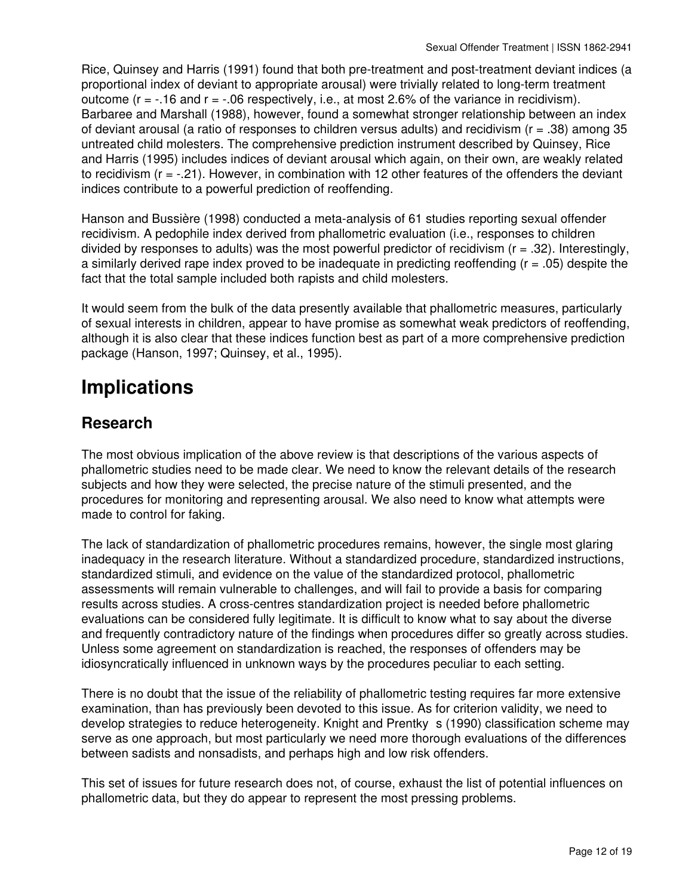Rice, Quinsey and Harris (1991) found that both pre-treatment and post-treatment deviant indices (a proportional index of deviant to appropriate arousal) were trivially related to long-term treatment outcome ( $r = -16$  and  $r = -06$  respectively, i.e., at most 2.6% of the variance in recidivism). Barbaree and Marshall (1988), however, found a somewhat stronger relationship between an index of deviant arousal (a ratio of responses to children versus adults) and recidivism ( $r = .38$ ) among 35 untreated child molesters. The comprehensive prediction instrument described by Quinsey, Rice and Harris (1995) includes indices of deviant arousal which again, on their own, are weakly related to recidivism  $(r = -.21)$ . However, in combination with 12 other features of the offenders the deviant indices contribute to a powerful prediction of reoffending.

Hanson and Bussière (1998) conducted a meta-analysis of 61 studies reporting sexual offender recidivism. A pedophile index derived from phallometric evaluation (i.e., responses to children divided by responses to adults) was the most powerful predictor of recidivism  $(r = .32)$ . Interestingly, a similarly derived rape index proved to be inadequate in predicting reoffending (r = .05) despite the fact that the total sample included both rapists and child molesters.

It would seem from the bulk of the data presently available that phallometric measures, particularly of sexual interests in children, appear to have promise as somewhat weak predictors of reoffending, although it is also clear that these indices function best as part of a more comprehensive prediction package (Hanson, 1997; Quinsey, et al., 1995).

## **Implications**

#### **Research**

The most obvious implication of the above review is that descriptions of the various aspects of phallometric studies need to be made clear. We need to know the relevant details of the research subjects and how they were selected, the precise nature of the stimuli presented, and the procedures for monitoring and representing arousal. We also need to know what attempts were made to control for faking.

The lack of standardization of phallometric procedures remains, however, the single most glaring inadequacy in the research literature. Without a standardized procedure, standardized instructions, standardized stimuli, and evidence on the value of the standardized protocol, phallometric assessments will remain vulnerable to challenges, and will fail to provide a basis for comparing results across studies. A cross-centres standardization project is needed before phallometric evaluations can be considered fully legitimate. It is difficult to know what to say about the diverse and frequently contradictory nature of the findings when procedures differ so greatly across studies. Unless some agreement on standardization is reached, the responses of offenders may be idiosyncratically influenced in unknown ways by the procedures peculiar to each setting.

There is no doubt that the issue of the reliability of phallometric testing requires far more extensive examination, than has previously been devoted to this issue. As for criterion validity, we need to develop strategies to reduce heterogeneity. Knight and Prentky s (1990) classification scheme may serve as one approach, but most particularly we need more thorough evaluations of the differences between sadists and nonsadists, and perhaps high and low risk offenders.

This set of issues for future research does not, of course, exhaust the list of potential influences on phallometric data, but they do appear to represent the most pressing problems.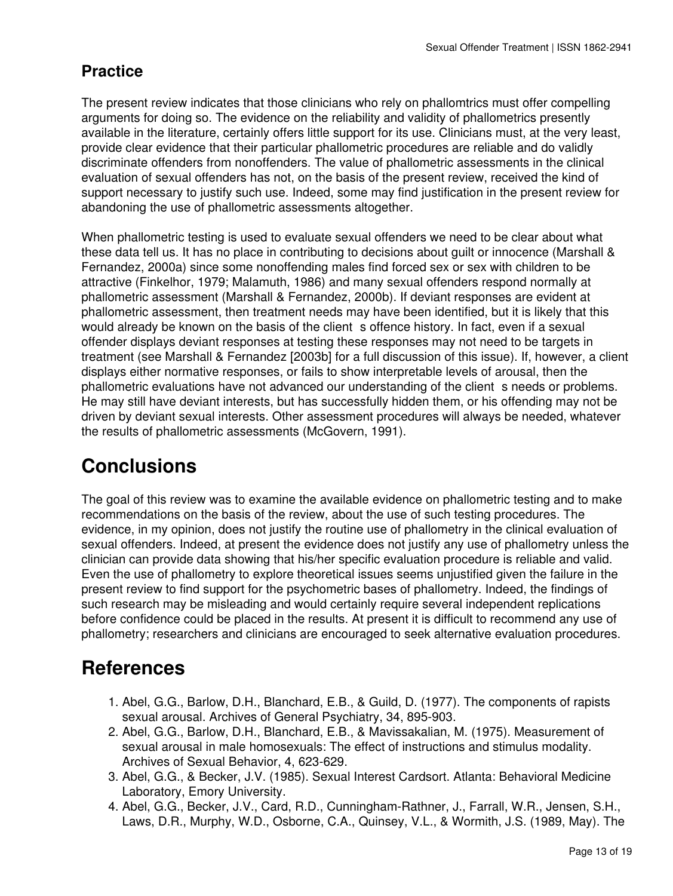#### **Practice**

The present review indicates that those clinicians who rely on phallomtrics must offer compelling arguments for doing so. The evidence on the reliability and validity of phallometrics presently available in the literature, certainly offers little support for its use. Clinicians must, at the very least, provide clear evidence that their particular phallometric procedures are reliable and do validly discriminate offenders from nonoffenders. The value of phallometric assessments in the clinical evaluation of sexual offenders has not, on the basis of the present review, received the kind of support necessary to justify such use. Indeed, some may find justification in the present review for abandoning the use of phallometric assessments altogether.

When phallometric testing is used to evaluate sexual offenders we need to be clear about what these data tell us. It has no place in contributing to decisions about guilt or innocence (Marshall & Fernandez, 2000a) since some nonoffending males find forced sex or sex with children to be attractive (Finkelhor, 1979; Malamuth, 1986) and many sexual offenders respond normally at phallometric assessment (Marshall & Fernandez, 2000b). If deviant responses are evident at phallometric assessment, then treatment needs may have been identified, but it is likely that this would already be known on the basis of the client s offence history. In fact, even if a sexual offender displays deviant responses at testing these responses may not need to be targets in treatment (see Marshall & Fernandez [2003b] for a full discussion of this issue). If, however, a client displays either normative responses, or fails to show interpretable levels of arousal, then the phallometric evaluations have not advanced our understanding of the client s needs or problems. He may still have deviant interests, but has successfully hidden them, or his offending may not be driven by deviant sexual interests. Other assessment procedures will always be needed, whatever the results of phallometric assessments (McGovern, 1991).

## **Conclusions**

The goal of this review was to examine the available evidence on phallometric testing and to make recommendations on the basis of the review, about the use of such testing procedures. The evidence, in my opinion, does not justify the routine use of phallometry in the clinical evaluation of sexual offenders. Indeed, at present the evidence does not justify any use of phallometry unless the clinician can provide data showing that his/her specific evaluation procedure is reliable and valid. Even the use of phallometry to explore theoretical issues seems unjustified given the failure in the present review to find support for the psychometric bases of phallometry. Indeed, the findings of such research may be misleading and would certainly require several independent replications before confidence could be placed in the results. At present it is difficult to recommend any use of phallometry; researchers and clinicians are encouraged to seek alternative evaluation procedures.

### **References**

- 1. Abel, G.G., Barlow, D.H., Blanchard, E.B., & Guild, D. (1977). The components of rapists sexual arousal. Archives of General Psychiatry, 34, 895-903.
- 2. Abel, G.G., Barlow, D.H., Blanchard, E.B., & Mavissakalian, M. (1975). Measurement of sexual arousal in male homosexuals: The effect of instructions and stimulus modality. Archives of Sexual Behavior, 4, 623-629.
- 3. Abel, G.G., & Becker, J.V. (1985). Sexual Interest Cardsort. Atlanta: Behavioral Medicine Laboratory, Emory University.
- 4. Abel, G.G., Becker, J.V., Card, R.D., Cunningham-Rathner, J., Farrall, W.R., Jensen, S.H., Laws, D.R., Murphy, W.D., Osborne, C.A., Quinsey, V.L., & Wormith, J.S. (1989, May). The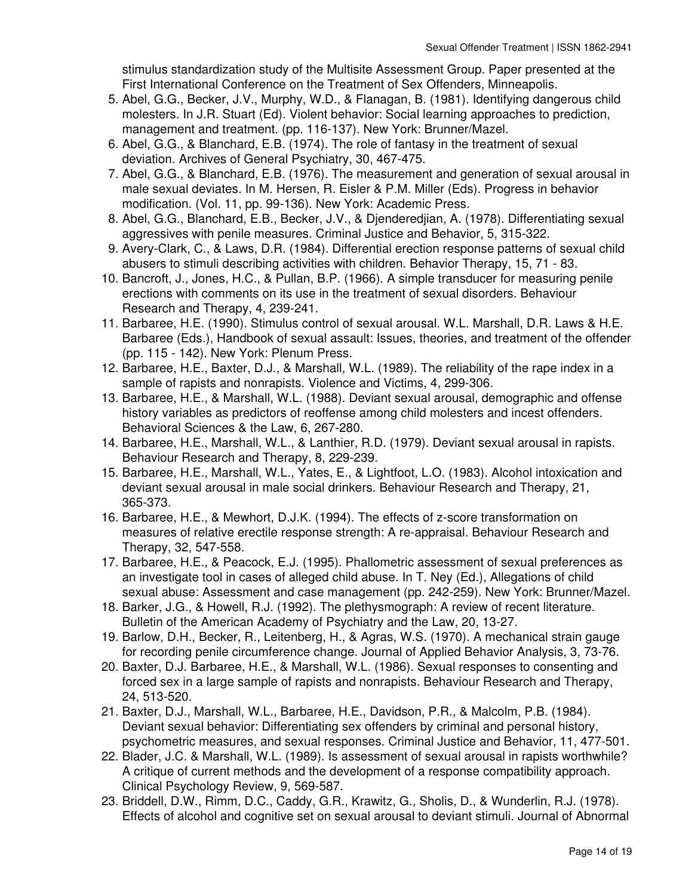stimulus standardization study of the Multisite Assessment Group. Paper presented at the First International Conference on the Treatment of Sex Offenders, Minneapolis.

- 5. Abel, G.G., Becker, J.V., Murphy, W.D., & Flanagan, B. (1981). Identifying dangerous child molesters. In J.R. Stuart (Ed). Violent behavior: Social learning approaches to prediction, management and treatment. (pp. 116-137). New York: Brunner/Mazel.
- 6. Abel, G.G., & Blanchard, E.B. (1974). The role of fantasy in the treatment of sexual deviation. Archives of General Psychiatry, 30, 467-475.
- 7. Abel, G.G., & Blanchard, E.B. (1976). The measurement and generation of sexual arousal in male sexual deviates. In M. Hersen, R. Eisler & P.M. Miller (Eds). Progress in behavior modification. (Vol. 11, pp. 99-136). New York: Academic Press.
- 8. Abel, G.G., Blanchard, E.B., Becker, J.V., & Djenderedjian, A. (1978). Differentiating sexual aggressives with penile measures. Criminal Justice and Behavior, 5, 315-322.
- 9. Avery-Clark, C., & Laws, D.R. (1984). Differential erection response patterns of sexual child abusers to stimuli describing activities with children. Behavior Therapy, 15, 71 - 83.
- 10. Bancroft, J., Jones, H.C., & Pullan, B.P. (1966). A simple transducer for measuring penile erections with comments on its use in the treatment of sexual disorders. Behaviour Research and Therapy, 4, 239-241.
- 11. Barbaree, H.E. (1990). Stimulus control of sexual arousal. W.L. Marshall, D.R. Laws & H.E. Barbaree (Eds.), Handbook of sexual assault: Issues, theories, and treatment of the offender (pp. 115 - 142). New York: Plenum Press.
- 12. Barbaree, H.E., Baxter, D.J., & Marshall, W.L. (1989). The reliability of the rape index in a sample of rapists and nonrapists. Violence and Victims, 4, 299-306.
- 13. Barbaree, H.E., & Marshall, W.L. (1988). Deviant sexual arousal, demographic and offense history variables as predictors of reoffense among child molesters and incest offenders. Behavioral Sciences & the Law, 6, 267-280.
- 14. Barbaree, H.E., Marshall, W.L., & Lanthier, R.D. (1979). Deviant sexual arousal in rapists. Behaviour Research and Therapy, 8, 229-239.
- 15. Barbaree, H.E., Marshall, W.L., Yates, E., & Lightfoot, L.O. (1983). Alcohol intoxication and deviant sexual arousal in male social drinkers. Behaviour Research and Therapy, 21, 365-373.
- 16. Barbaree, H.E., & Mewhort, D.J.K. (1994). The effects of z-score transformation on measures of relative erectile response strength: A re-appraisal. Behaviour Research and Therapy, 32, 547-558.
- 17. Barbaree, H.E., & Peacock, E.J. (1995). Phallometric assessment of sexual preferences as an investigate tool in cases of alleged child abuse. In T. Ney (Ed.), Allegations of child sexual abuse: Assessment and case management (pp. 242-259). New York: Brunner/Mazel.
- 18. Barker, J.G., & Howell, R.J. (1992). The plethysmograph: A review of recent literature. Bulletin of the American Academy of Psychiatry and the Law, 20, 13-27.
- 19. Barlow, D.H., Becker, R., Leitenberg, H., & Agras, W.S. (1970). A mechanical strain gauge for recording penile circumference change. Journal of Applied Behavior Analysis, 3, 73-76.
- 20. Baxter, D.J. Barbaree, H.E., & Marshall, W.L. (1986). Sexual responses to consenting and forced sex in a large sample of rapists and nonrapists. Behaviour Research and Therapy, 24, 513-520.
- 21. Baxter, D.J., Marshall, W.L., Barbaree, H.E., Davidson, P.R., & Malcolm, P.B. (1984). Deviant sexual behavior: Differentiating sex offenders by criminal and personal history, psychometric measures, and sexual responses. Criminal Justice and Behavior, 11, 477-501.
- 22. Blader, J.C. & Marshall, W.L. (1989). Is assessment of sexual arousal in rapists worthwhile? A critique of current methods and the development of a response compatibility approach. Clinical Psychology Review, 9, 569-587.
- 23. Briddell, D.W., Rimm, D.C., Caddy, G.R., Krawitz, G., Sholis, D., & Wunderlin, R.J. (1978). Effects of alcohol and cognitive set on sexual arousal to deviant stimuli. Journal of Abnormal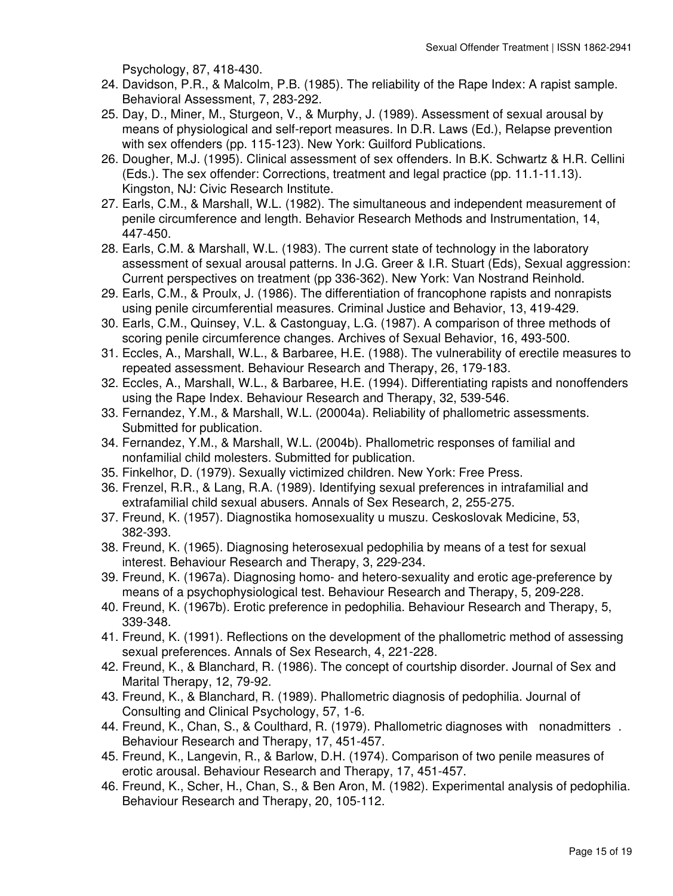Psychology, 87, 418-430.

- 24. Davidson, P.R., & Malcolm, P.B. (1985). The reliability of the Rape Index: A rapist sample. Behavioral Assessment, 7, 283-292.
- 25. Day, D., Miner, M., Sturgeon, V., & Murphy, J. (1989). Assessment of sexual arousal by means of physiological and self-report measures. In D.R. Laws (Ed.), Relapse prevention with sex offenders (pp. 115-123). New York: Guilford Publications.
- 26. Dougher, M.J. (1995). Clinical assessment of sex offenders. In B.K. Schwartz & H.R. Cellini (Eds.). The sex offender: Corrections, treatment and legal practice (pp. 11.1-11.13). Kingston, NJ: Civic Research Institute.
- 27. Earls, C.M., & Marshall, W.L. (1982). The simultaneous and independent measurement of penile circumference and length. Behavior Research Methods and Instrumentation, 14, 447-450.
- 28. Earls, C.M. & Marshall, W.L. (1983). The current state of technology in the laboratory assessment of sexual arousal patterns. In J.G. Greer & I.R. Stuart (Eds), Sexual aggression: Current perspectives on treatment (pp 336-362). New York: Van Nostrand Reinhold.
- Earls, C.M., & Proulx, J. (1986). The differentiation of francophone rapists and nonrapists 29. using penile circumferential measures. Criminal Justice and Behavior, 13, 419-429.
- 30. Earls, C.M., Quinsey, V.L. & Castonguay, L.G. (1987). A comparison of three methods of scoring penile circumference changes. Archives of Sexual Behavior, 16, 493-500.
- 31. Eccles, A., Marshall, W.L., & Barbaree, H.E. (1988). The vulnerability of erectile measures to repeated assessment. Behaviour Research and Therapy, 26, 179-183.
- Eccles, A., Marshall, W.L., & Barbaree, H.E. (1994). Differentiating rapists and nonoffenders 32. using the Rape Index. Behaviour Research and Therapy, 32, 539-546.
- 33. Fernandez, Y.M., & Marshall, W.L. (20004a). Reliability of phallometric assessments. Submitted for publication.
- Fernandez, Y.M., & Marshall, W.L. (2004b). Phallometric responses of familial and 34. nonfamilial child molesters. Submitted for publication.
- 35. Finkelhor, D. (1979). Sexually victimized children. New York: Free Press.
- 36. Frenzel, R.R., & Lang, R.A. (1989). Identifying sexual preferences in intrafamilial and extrafamilial child sexual abusers. Annals of Sex Research, 2, 255-275.
- 37. Freund, K. (1957). Diagnostika homosexuality u muszu. Ceskoslovak Medicine, 53, 382-393.
- 38. Freund, K. (1965). Diagnosing heterosexual pedophilia by means of a test for sexual interest. Behaviour Research and Therapy, 3, 229-234.
- 39. Freund, K. (1967a). Diagnosing homo- and hetero-sexuality and erotic age-preference by means of a psychophysiological test. Behaviour Research and Therapy, 5, 209-228.
- Freund, K. (1967b). Erotic preference in pedophilia. Behaviour Research and Therapy, 5, 40. 339-348.
- Freund, K. (1991). Reflections on the development of the phallometric method of assessing 41. sexual preferences. Annals of Sex Research, 4, 221-228.
- 42. Freund, K., & Blanchard, R. (1986). The concept of courtship disorder. Journal of Sex and Marital Therapy, 12, 79-92.
- 43. Freund, K., & Blanchard, R. (1989). Phallometric diagnosis of pedophilia. Journal of Consulting and Clinical Psychology, 57, 1-6.
- 44. Freund, K., Chan, S., & Coulthard, R. (1979). Phallometric diagnoses with nonadmitters. Behaviour Research and Therapy, 17, 451-457.
- 45. Freund, K., Langevin, R., & Barlow, D.H. (1974). Comparison of two penile measures of erotic arousal. Behaviour Research and Therapy, 17, 451-457.
- 46. Freund, K., Scher, H., Chan, S., & Ben Aron, M. (1982). Experimental analysis of pedophilia. Behaviour Research and Therapy, 20, 105-112.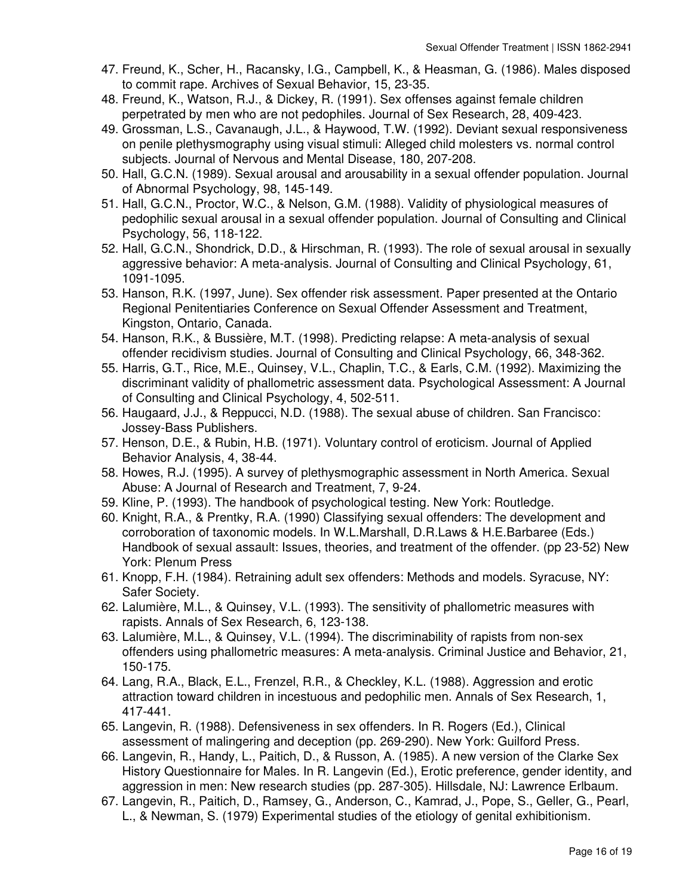- 47. Freund, K., Scher, H., Racansky, I.G., Campbell, K., & Heasman, G. (1986). Males disposed to commit rape. Archives of Sexual Behavior, 15, 23-35.
- Freund, K., Watson, R.J., & Dickey, R. (1991). Sex offenses against female children 48. perpetrated by men who are not pedophiles. Journal of Sex Research, 28, 409-423.
- 49. Grossman, L.S., Cavanaugh, J.L., & Haywood, T.W. (1992). Deviant sexual responsiveness on penile plethysmography using visual stimuli: Alleged child molesters vs. normal control subjects. Journal of Nervous and Mental Disease, 180, 207-208.
- 50. Hall, G.C.N. (1989). Sexual arousal and arousability in a sexual offender population. Journal of Abnormal Psychology, 98, 145-149.
- 51. Hall, G.C.N., Proctor, W.C., & Nelson, G.M. (1988). Validity of physiological measures of pedophilic sexual arousal in a sexual offender population. Journal of Consulting and Clinical Psychology, 56, 118-122.
- 52. Hall, G.C.N., Shondrick, D.D., & Hirschman, R. (1993). The role of sexual arousal in sexually aggressive behavior: A meta-analysis. Journal of Consulting and Clinical Psychology, 61, 1091-1095.
- 53. Hanson, R.K. (1997, June). Sex offender risk assessment. Paper presented at the Ontario Regional Penitentiaries Conference on Sexual Offender Assessment and Treatment, Kingston, Ontario, Canada.
- 54. Hanson, R.K., & Bussière, M.T. (1998). Predicting relapse: A meta-analysis of sexual offender recidivism studies. Journal of Consulting and Clinical Psychology, 66, 348-362.
- 55. Harris, G.T., Rice, M.E., Quinsey, V.L., Chaplin, T.C., & Earls, C.M. (1992). Maximizing the discriminant validity of phallometric assessment data. Psychological Assessment: A Journal of Consulting and Clinical Psychology, 4, 502-511.
- 56. Haugaard, J.J., & Reppucci, N.D. (1988). The sexual abuse of children. San Francisco: Jossey-Bass Publishers.
- 57. Henson, D.E., & Rubin, H.B. (1971). Voluntary control of eroticism. Journal of Applied Behavior Analysis, 4, 38-44.
- 58. Howes, R.J. (1995). A survey of plethysmographic assessment in North America. Sexual Abuse: A Journal of Research and Treatment, 7, 9-24.
- 59. Kline, P. (1993). The handbook of psychological testing. New York: Routledge.
- 60. Knight, R.A., & Prentky, R.A. (1990) Classifying sexual offenders: The development and corroboration of taxonomic models. In W.L.Marshall, D.R.Laws & H.E.Barbaree (Eds.) Handbook of sexual assault: Issues, theories, and treatment of the offender. (pp 23-52) New York: Plenum Press
- 61. Knopp, F.H. (1984). Retraining adult sex offenders: Methods and models. Syracuse, NY: Safer Society.
- 62. Lalumière, M.L., & Quinsey, V.L. (1993). The sensitivity of phallometric measures with rapists. Annals of Sex Research, 6, 123-138.
- 63. Lalumière, M.L., & Quinsey, V.L. (1994). The discriminability of rapists from non-sex offenders using phallometric measures: A meta-analysis. Criminal Justice and Behavior, 21, 150-175.
- 64. Lang, R.A., Black, E.L., Frenzel, R.R., & Checkley, K.L. (1988). Aggression and erotic attraction toward children in incestuous and pedophilic men. Annals of Sex Research, 1, 417-441.
- 65. Langevin, R. (1988). Defensiveness in sex offenders. In R. Rogers (Ed.), Clinical assessment of malingering and deception (pp. 269-290). New York: Guilford Press.
- 66. Langevin, R., Handy, L., Paitich, D., & Russon, A. (1985). A new version of the Clarke Sex History Questionnaire for Males. In R. Langevin (Ed.), Erotic preference, gender identity, and aggression in men: New research studies (pp. 287-305). Hillsdale, NJ: Lawrence Erlbaum.
- 67. Langevin, R., Paitich, D., Ramsey, G., Anderson, C., Kamrad, J., Pope, S., Geller, G., Pearl, L., & Newman, S. (1979) Experimental studies of the etiology of genital exhibitionism.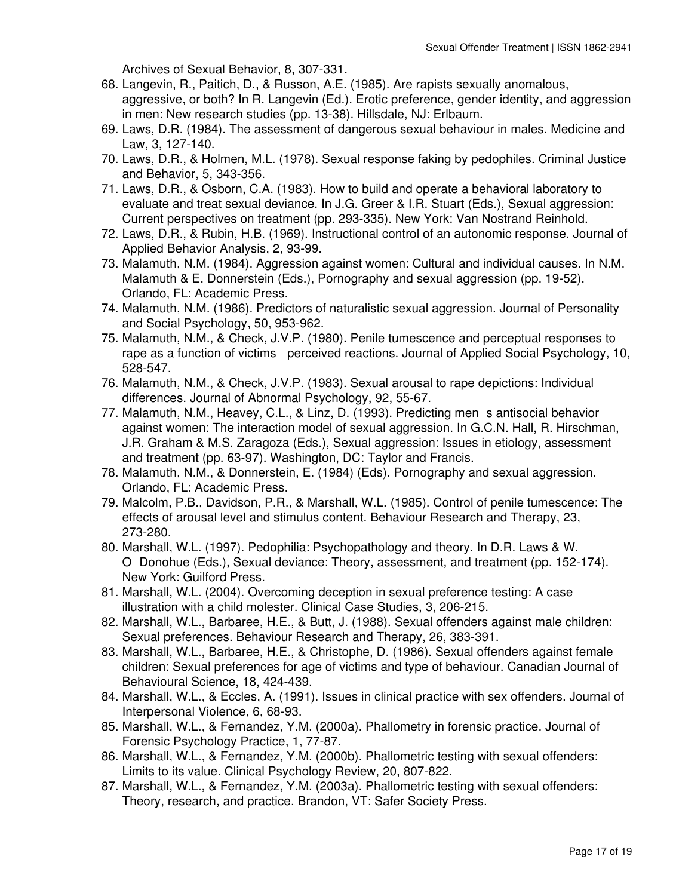Archives of Sexual Behavior, 8, 307-331.

- 68. Langevin, R., Paitich, D., & Russon, A.E. (1985). Are rapists sexually anomalous, aggressive, or both? In R. Langevin (Ed.). Erotic preference, gender identity, and aggression in men: New research studies (pp. 13-38). Hillsdale, NJ: Erlbaum.
- 69. Laws, D.R. (1984). The assessment of dangerous sexual behaviour in males. Medicine and Law, 3, 127-140.
- 70. Laws, D.R., & Holmen, M.L. (1978). Sexual response faking by pedophiles. Criminal Justice and Behavior, 5, 343-356.
- 71. Laws, D.R., & Osborn, C.A. (1983). How to build and operate a behavioral laboratory to evaluate and treat sexual deviance. In J.G. Greer & I.R. Stuart (Eds.), Sexual aggression: Current perspectives on treatment (pp. 293-335). New York: Van Nostrand Reinhold.
- 72. Laws, D.R., & Rubin, H.B. (1969). Instructional control of an autonomic response. Journal of Applied Behavior Analysis, 2, 93-99.
- 73. Malamuth, N.M. (1984). Aggression against women: Cultural and individual causes. In N.M. Malamuth & E. Donnerstein (Eds.), Pornography and sexual aggression (pp. 19-52). Orlando, FL: Academic Press.
- 74. Malamuth, N.M. (1986). Predictors of naturalistic sexual aggression. Journal of Personality and Social Psychology, 50, 953-962.
- 75. Malamuth, N.M., & Check, J.V.P. (1980). Penile tumescence and perceptual responses to rape as a function of victims perceived reactions. Journal of Applied Social Psychology, 10, 528-547.
- 76. Malamuth, N.M., & Check, J.V.P. (1983). Sexual arousal to rape depictions: Individual differences. Journal of Abnormal Psychology, 92, 55-67.
- 77. Malamuth, N.M., Heavey, C.L., & Linz, D. (1993). Predicting men s antisocial behavior against women: The interaction model of sexual aggression. In G.C.N. Hall, R. Hirschman, J.R. Graham & M.S. Zaragoza (Eds.), Sexual aggression: Issues in etiology, assessment and treatment (pp. 63-97). Washington, DC: Taylor and Francis.
- 78. Malamuth, N.M., & Donnerstein, E. (1984) (Eds). Pornography and sexual aggression. Orlando, FL: Academic Press.
- 79. Malcolm, P.B., Davidson, P.R., & Marshall, W.L. (1985). Control of penile tumescence: The effects of arousal level and stimulus content. Behaviour Research and Therapy, 23, 273-280.
- 80. Marshall, W.L. (1997). Pedophilia: Psychopathology and theory. In D.R. Laws & W. ODonohue (Eds.), Sexual deviance: Theory, assessment, and treatment (pp. 152-174). New York: Guilford Press.
- 81. Marshall, W.L. (2004). Overcoming deception in sexual preference testing: A case illustration with a child molester. Clinical Case Studies, 3, 206-215.
- 82. Marshall, W.L., Barbaree, H.E., & Butt, J. (1988). Sexual offenders against male children: Sexual preferences. Behaviour Research and Therapy, 26, 383-391.
- 83. Marshall, W.L., Barbaree, H.E., & Christophe, D. (1986). Sexual offenders against female children: Sexual preferences for age of victims and type of behaviour. Canadian Journal of Behavioural Science, 18, 424-439.
- 84. Marshall, W.L., & Eccles, A. (1991). Issues in clinical practice with sex offenders. Journal of Interpersonal Violence, 6, 68-93.
- 85. Marshall, W.L., & Fernandez, Y.M. (2000a). Phallometry in forensic practice. Journal of Forensic Psychology Practice, 1, 77-87.
- 86. Marshall, W.L., & Fernandez, Y.M. (2000b). Phallometric testing with sexual offenders: Limits to its value. Clinical Psychology Review, 20, 807-822.
- 87. Marshall, W.L., & Fernandez, Y.M. (2003a). Phallometric testing with sexual offenders: Theory, research, and practice. Brandon, VT: Safer Society Press.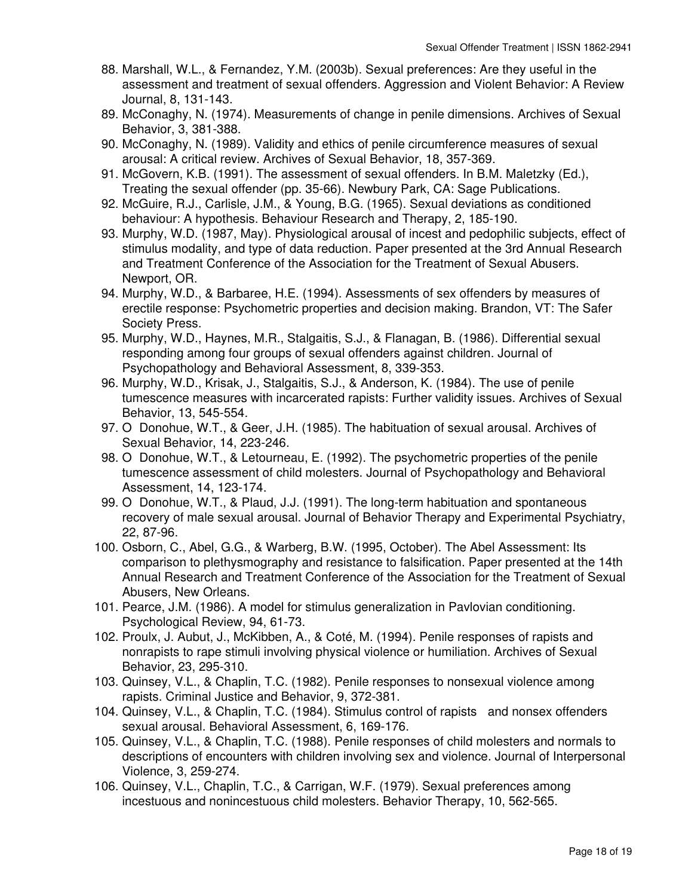- 88. Marshall, W.L., & Fernandez, Y.M. (2003b). Sexual preferences: Are they useful in the assessment and treatment of sexual offenders. Aggression and Violent Behavior: A Review Journal, 8, 131-143.
- 89. McConaghy, N. (1974). Measurements of change in penile dimensions. Archives of Sexual Behavior, 3, 381-388.
- 90. McConaghy, N. (1989). Validity and ethics of penile circumference measures of sexual arousal: A critical review. Archives of Sexual Behavior, 18, 357-369.
- 91. McGovern, K.B. (1991). The assessment of sexual offenders. In B.M. Maletzky (Ed.), Treating the sexual offender (pp. 35-66). Newbury Park, CA: Sage Publications.
- 92. McGuire, R.J., Carlisle, J.M., & Young, B.G. (1965). Sexual deviations as conditioned behaviour: A hypothesis. Behaviour Research and Therapy, 2, 185-190.
- 93. Murphy, W.D. (1987, May). Physiological arousal of incest and pedophilic subjects, effect of stimulus modality, and type of data reduction. Paper presented at the 3rd Annual Research and Treatment Conference of the Association for the Treatment of Sexual Abusers. Newport, OR.
- 94. Murphy, W.D., & Barbaree, H.E. (1994). Assessments of sex offenders by measures of erectile response: Psychometric properties and decision making. Brandon, VT: The Safer Society Press.
- 95. Murphy, W.D., Haynes, M.R., Stalgaitis, S.J., & Flanagan, B. (1986). Differential sexual responding among four groups of sexual offenders against children. Journal of Psychopathology and Behavioral Assessment, 8, 339-353.
- 96. Murphy, W.D., Krisak, J., Stalgaitis, S.J., & Anderson, K. (1984). The use of penile tumescence measures with incarcerated rapists: Further validity issues. Archives of Sexual Behavior, 13, 545-554.
- 97. O Donohue, W.T., & Geer, J.H. (1985). The habituation of sexual arousal. Archives of Sexual Behavior, 14, 223-246.
- 98. O Donohue, W.T., & Letourneau, E. (1992). The psychometric properties of the penile tumescence assessment of child molesters. Journal of Psychopathology and Behavioral Assessment, 14, 123-174.
- 99. O Donohue, W.T., & Plaud, J.J. (1991). The long-term habituation and spontaneous recovery of male sexual arousal. Journal of Behavior Therapy and Experimental Psychiatry, 22, 87-96.
- 100. Osborn, C., Abel, G.G., & Warberg, B.W. (1995, October). The Abel Assessment: Its comparison to plethysmography and resistance to falsification. Paper presented at the 14th Annual Research and Treatment Conference of the Association for the Treatment of Sexual Abusers, New Orleans.
- 101. Pearce, J.M. (1986). A model for stimulus generalization in Pavlovian conditioning. Psychological Review, 94, 61-73.
- 102. Proulx, J. Aubut, J., McKibben, A., & Coté, M. (1994). Penile responses of rapists and nonrapists to rape stimuli involving physical violence or humiliation. Archives of Sexual Behavior, 23, 295-310.
- 103. Quinsey, V.L., & Chaplin, T.C. (1982). Penile responses to nonsexual violence among rapists. Criminal Justice and Behavior, 9, 372-381.
- 104. Quinsey, V.L., & Chaplin, T.C. (1984). Stimulus control of rapists and nonsex offenders sexual arousal. Behavioral Assessment, 6, 169-176.
- 105. Quinsey, V.L., & Chaplin, T.C. (1988). Penile responses of child molesters and normals to descriptions of encounters with children involving sex and violence. Journal of Interpersonal Violence, 3, 259-274.
- 106. Quinsey, V.L., Chaplin, T.C., & Carrigan, W.F. (1979). Sexual preferences among incestuous and nonincestuous child molesters. Behavior Therapy, 10, 562-565.